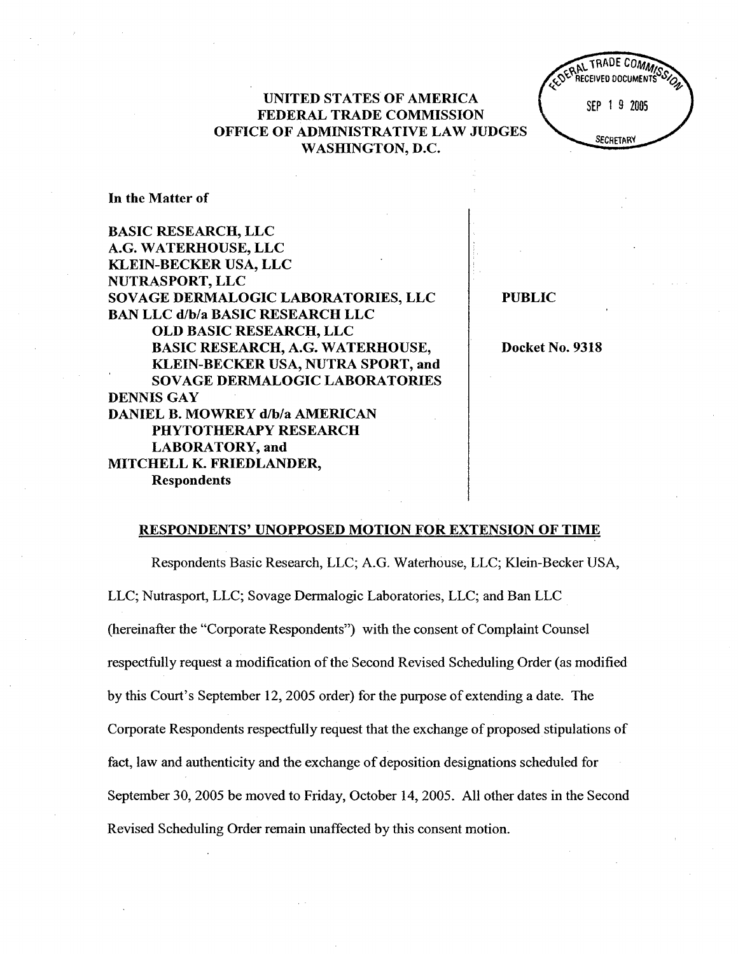UNITED STATES OF AMERICA FEDERAL TRADE COMMISSION OFFICE OF ADMINISTRATIVE LAW JUDGES WASHINGTON, D.



In the Matter of

BASIC RESEARCH, LLC G. WATERHOUSE, LLC KLEIN-BECKER USA, LLC NUTRASPORT, LLC SOY AGE DERMALOGIC LABORATORIES, LLC BAN LLC d/b/a BASIC RESEARCH LLC OLD BASIC RESEARCH, LLC BASIC RESEARCH, A.G. WATERHOUSE KLEIN-BECKER USA, NUTRA SPORT, and SOVAGE DERMALOGIC LABORATORIES DENNIS GAY DANIEL B. MOWREY d/b/a AMERICAN PHYTOTHERAPY RESEARCH LABORATORY, and MITCHELL K. FRIEDLANDER Respondents

PUBLIC

Docket No. 9318

#### RESPONDENTS' UNOPPOSED MOTION FOR EXTENSION OF TIME

Respondents Basic Research, LLC; A.G. Waterhouse, LLC; Klein-Becker USA LLC; Nutrasport, LLC; Sovage Dennalogic Laboratories, LLC; and Ban LLC (hereinafter the "Corporate Respondents") with the consent of Complaint Counsel respectfully request a modification of the Second Revised Scheduling Order (as modified by this Court's September 12, 2005 order) for the purpose of extending a date. The Corporate Respondents respectfully request that the exchange of proposed stipulations of fact, law and authenticity and the exchange of deposition designations scheduled for September 30, 2005 be moved to Friday, October 14, 2005. All other dates in the Second Revised Scheduling Order remain unaffected by this consent motion.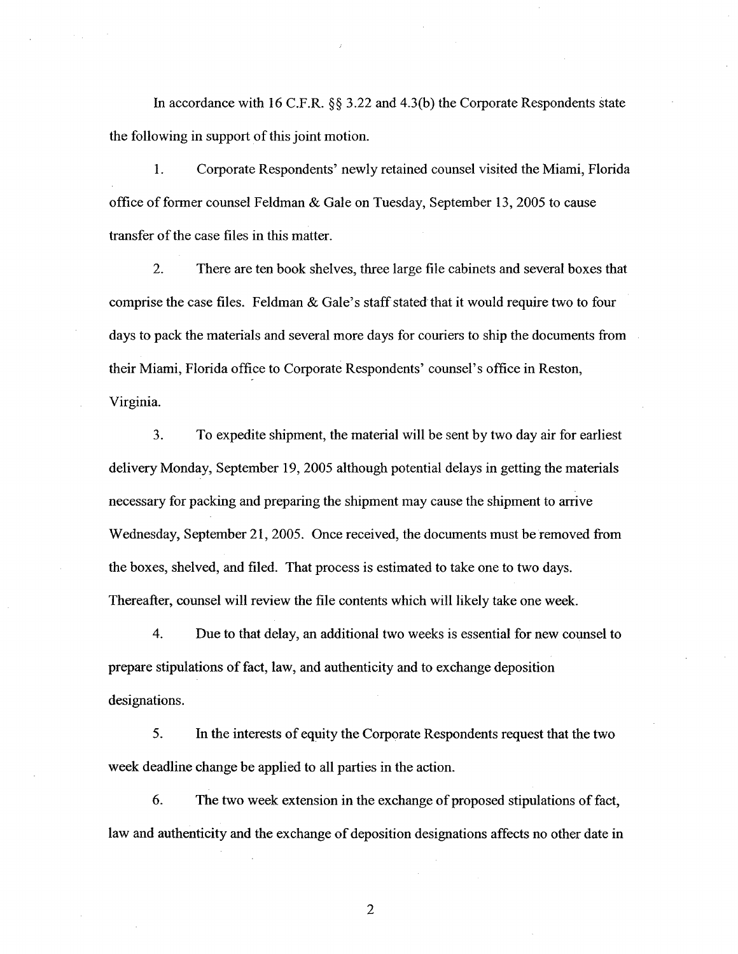In accordance with 16 C.F.R.  $\S$  3.22 and 4.3(b) the Corporate Respondents state the following in support of this joint motion.

 $\mathbf{1}$ . Corporate Respondents' newly retained counsel visited the Miami, Florida office of former counsel Feldman & Gale on Tuesday, September 13, 2005 to cause transfer of the case files in this matter.

 $\overline{2}$ . There are ten book shelves, three large file cabinets and several boxes that comprise the case files. Feldman  $&$  Gale's staff stated that it would require two to four days to pack the materials and several more days for couriers to ship the documents from their Miami, Florida office to Corporate Respondents' counsel's office in Reston, Virginia.

3. To expedite shipment, the material will be sent by two day air for earliest delivery Monday, September 19, 2005 although potential delays in getting the materials necessary for packing and preparing the shipment may cause the shipment to arrive Wednesday, September 21, 2005. Once received, the documents must be removed from the boxes, shelved, and filed. That process is estimated to take one to two days. Thereafter, counsel will review the file contents which will likely take one week.

 $\overline{4}$ . Due to that delay, an additional two weeks is essential for new counsel to prepare stipulations of fact, law, and authenticity and to exchange deposition designations.

5. In the interests of equity the Corporate Respondents request that the two week deadline change be applied to all parties in the action.

6. The two week extension in the exchange of proposed stipulations of fact law and authenticity and the exchange of deposition designations affects no other date in

 $\overline{2}$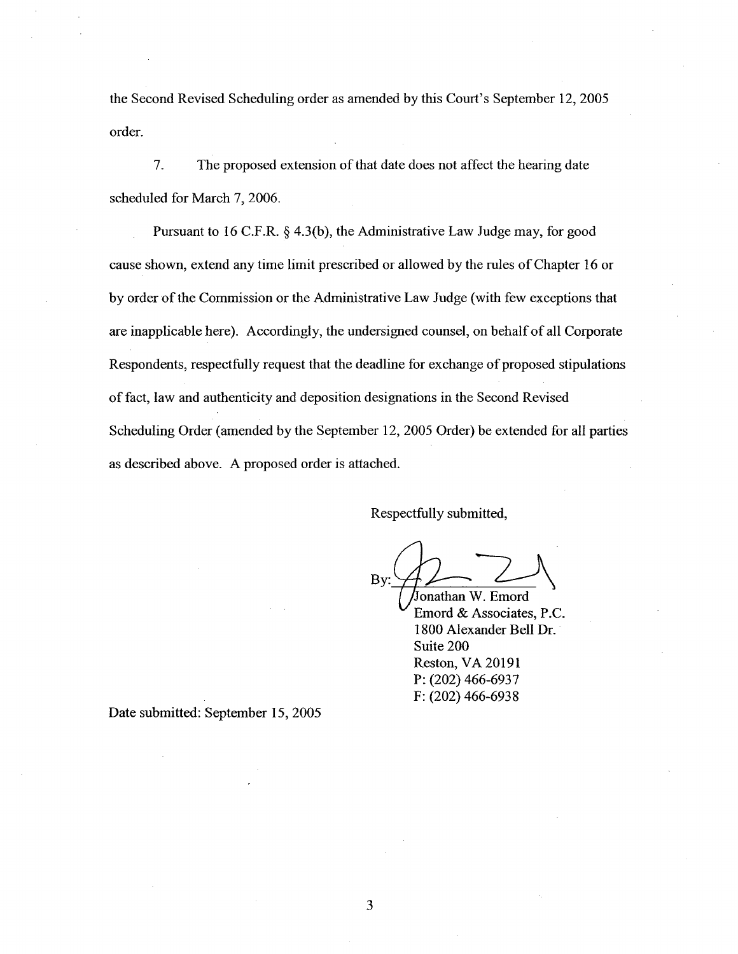the Second Revised Scheduling order as amended by this Court's September 12, 2005 order.

The proposed extension of that date does not affect the hearing date 7. scheduled for March 7, 2006.

Pursuant to 16 C.F.R.  $\S$  4.3(b), the Administrative Law Judge may, for good cause shown, extend any time limit prescribed or allowed by the rules of Chapter 16 or by order of the Commission or the Administrative Law Judge (with few exceptions that are inapplicable here). Accordingly, the undersigned counsel, on behalf of all Corporate Respondents, respectfully request that the deadline for exchange of proposed stipulations of fact, law and authenticity and deposition designations in the Second Revised Scheduling Order (amended by the September 12, 2005 Order) be extended for all parties as described above. A proposed order is attached.

Respectfully submitted

By:

Jonathan W. Ernord Emord & Associates, P. 1800 Alexander Bell Dr. Suite 200 Reston, VA 20191 P: (202) 466-6937 F: (202) 466-6938

Date submitted: September 15, 2005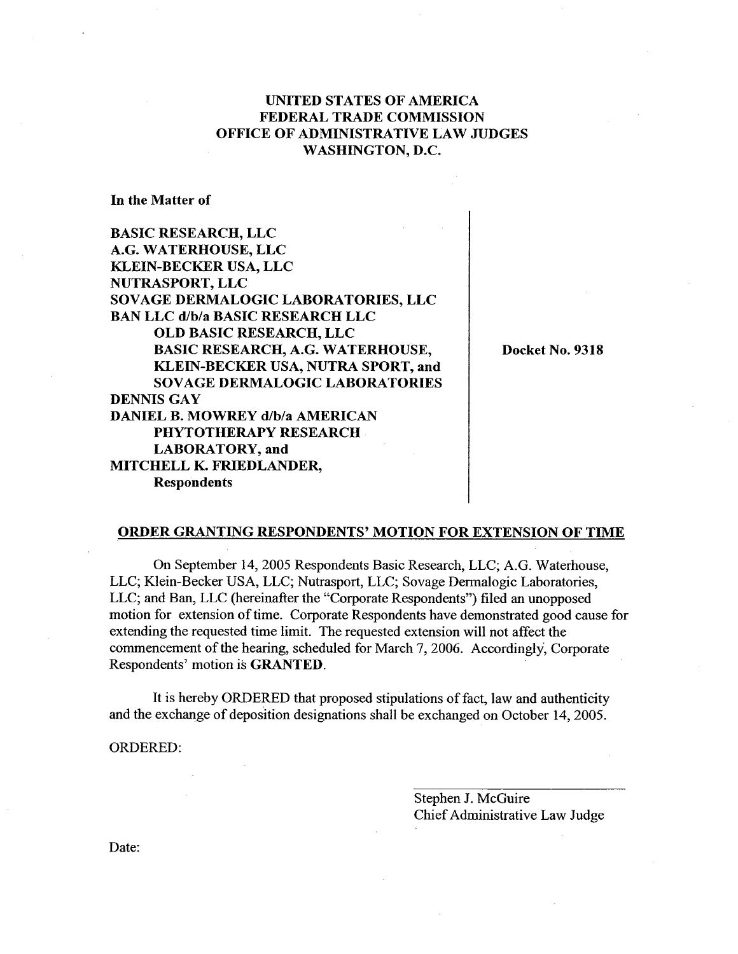# UNITED STATES OF AMERICA FEDERAL TRADE COMMISSION OFFICE OF ADMINISTRATIVE LAW JUDGES WASHINGTON, D.

In the Matter of

BASIC RESEARCH, LLC G. WATERHOUSE, LLC KLEIN-BECKER USA, LLC NUTRASPORT, LLC SOVAGE DERMALOGIC LABORATORIES, LLC BAN LLC d/b/a BASIC RESEARCH LLC OLD BASIC RESEARCH, LLC BASIC RESEARCH, A.G. WATERHOUSE KLEIN-BECKER USA, NUTRA SPORT, and SOVAGE DERMALOGIC LABORATORIES DENNIS GAY DANIEL B. MOWREY d/b/a AMERICAN PHYTOTHERAPY RESEARCH LABORATORY, and MITCHELL K. FRIEDLANDER Respondents

Docket No. 9318

## ORDER GRANTING RESPONDENTS' MOTION FOR EXTENSION OF TIME

On September 14, 2005 Respondents Basic Research, LLC; A.G. Waterhouse LLC; Klein-Becker USA, LLC; Nutrasport, LLC; Sovage Dennalogic Laboratories LLC; and Ban, LLC (hereinafter the "Corporate Respondents") filed an unopposed motion for extension of time. Corporate Respondents have demonstrated good cause for extending the requested time limit. The requested extension wil not affect the commencement of the hearng, scheduled for March 7, 2006. Accordingly, Corporate Respondents' motion is GRANTED.

It is hereby ORDERED that proposed stipulations of fact, law and authenticity and the exchange of deposition designations shall be exchanged on October 14 2005.

ORDERED:

Stephen J. McGuire Chief Administrative Law Judge

Date: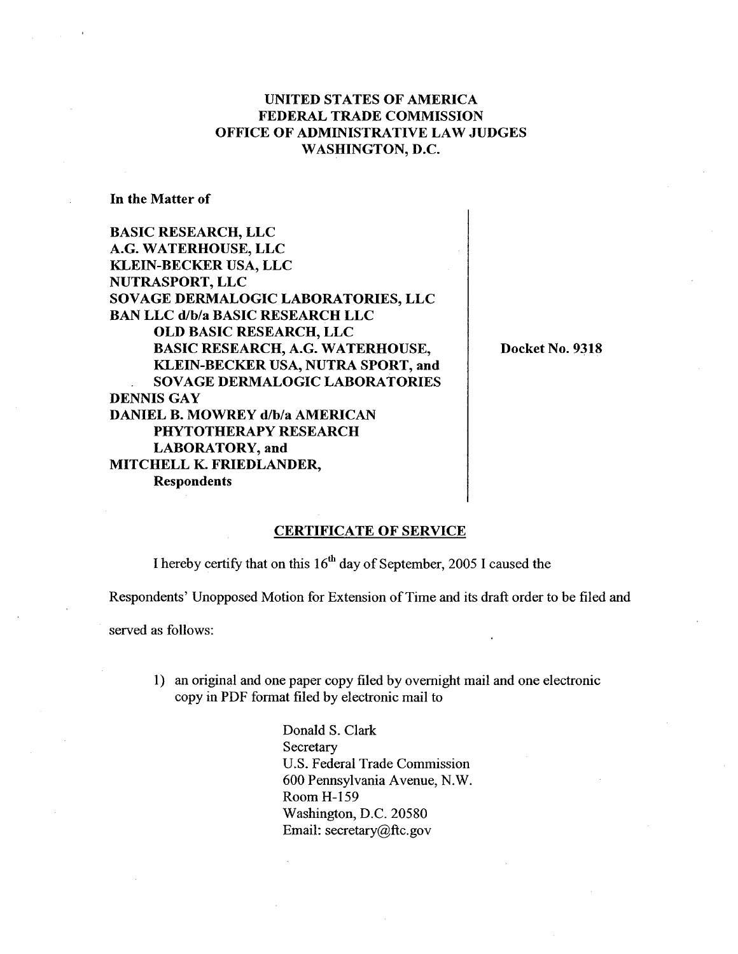# UNITED STATES OF AMERICA FEDERAL TRADE COMMISSION OFFICE OF ADMINISTRATIVE LAW JUDGES WASHINGTON, D.

In the Matter of

BASIC RESEARCH, LLC G. WATERHOUSE, LLC KLEIN-BECKER USA, LLC NUTRASPORT, LLC SOVAGE DERMALOGIC LABORATORIES, LLC BAN LLC d/b/a BASIC RESEARCH LLC OLD BASIC RESEARCH, LLC BASIC RESEARCH, A.G. WATERHOUSE KLEIN-BECKER USA, NUTRA SPORT, and SOVAGE DERMALOGIC LABORATORIES DENNIS GAY DANIEL B. MOWREY d/b/a AMERICAN PHYTOTHERAPY RESEARCH LABORATORY, and MITCHELL K. FRIEDLANDER Respondents

Docket No. 9318

### CERTIFICATE OF SERVICE

I hereby certify that on this  $16<sup>th</sup>$  day of September, 2005 I caused the

Respondents' Unopposed Motion for Extension of Time and its draft order to be filed and

served as follows:

1) an original and one paper copy filed by overnight mail and one electronic copy in PDF fonnat filed by electronic mail to

> Donald S. Clark **Secretary** U.S. Federal Trade Commission 600 Pennsylvania Avenue, N. Room H-159 Washington, D.C. 20580 Email: secretary  $@$ ftc.gov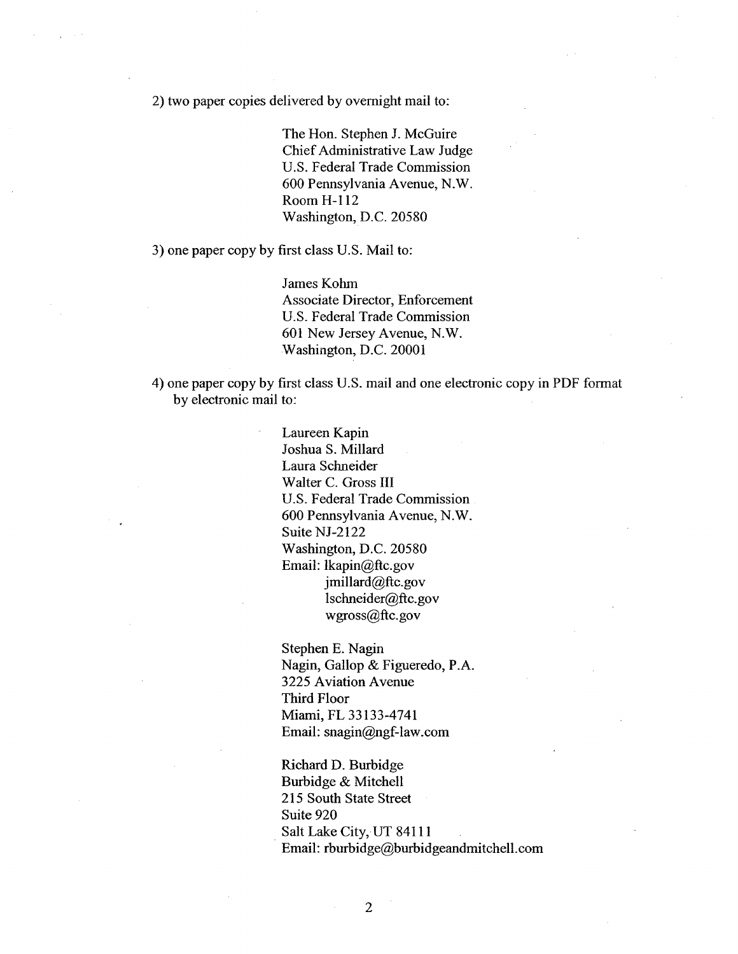2) two paper copies delivered by overnight mail to:

The Hon. Stephen J. McGuire Chief Administrative Law Judge U.S. Federal Trade Commission 600 Pennsylvania Avenue, N. Room H- 112 Washington, D.C. 20580

3) one paper copy by first class U.S. Mail to:

James Kohm Associate Director, Enforcement U.S. Federal Trade Commission 601 New Jersey Avenue, N. Washington, D.C. 20001

4) one paper copy by first class U.S. mail and one electronic copy in PDF format by electronic mail to:

> Laureen Kapin Joshua S. Milard Laura Schneider Walter C. Gross III U.S. Federal Trade Commission 600 Pennsylvania Avenue, N. Suite NJ-2122 Washington, D.C. 20580 Email: lkapin@ftc.gov jmillard@ftc.gov lschneider@ftc.gov wgross@ftc.gov

Stephen E. Nagin Nagin, Gallop & Figueredo, P. 3225 Aviation Avenue Third Floor Miami, FL 33133-4741 Email: snagin@ngf-law.com

Richard D. Burbidge Burbidge & Mitchell 215 South State Street Suite 920 Salt Lake City, UT 84111 Email: rburbidge@burbidgeandmitchell.com

 $\overline{2}$